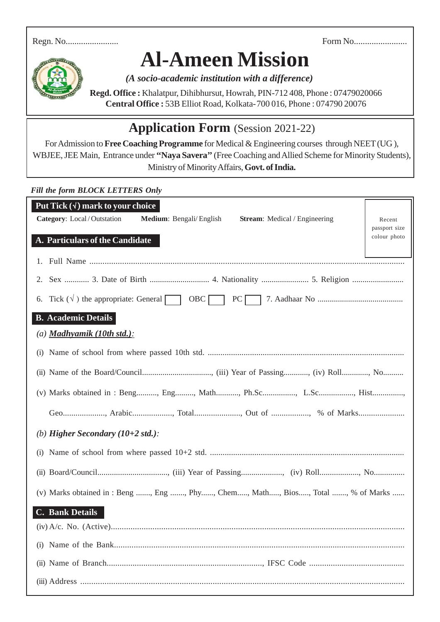Regn. No........................ Form No........................



## **Al-Ameen Mission**

*(A socio-academic institution with a difference)*

**Regd. Office :** Khalatpur, Dihibhursut, Howrah, PIN-712 408, Phone : 07479020066 **Central Office :** 53B Elliot Road, Kolkata-700 016, Phone : 074790 20076

## **Application Form** (Session 2021-22)

For Admission to **Free Coaching Programme** for Medical & Engineering courses through NEET (UG ), WBJEE, JEE Main, Entrance under **''Naya Savera''** (Free Coaching and Allied Scheme for Minority Students), Ministry of Minority Affairs, **Govt. of India.**

## *Fill the form BLOCK LETTERS Only*

| Put Tick $(\sqrt{})$ mark to your choice                                               |                               |  |
|----------------------------------------------------------------------------------------|-------------------------------|--|
| Category: Local/Outstation<br>Medium: Bengali/English<br>Stream: Medical / Engineering | Recent                        |  |
|                                                                                        | passport size<br>colour photo |  |
| A. Particulars of the Candidate                                                        |                               |  |
|                                                                                        |                               |  |
| 2.                                                                                     |                               |  |
| Tick $(\sqrt{})$ the appropriate: General<br>$OBC$  <br>PC<br>6.                       |                               |  |
| <b>B.</b> Academic Details                                                             |                               |  |
| $(a)$ <b>Madhyamik</b> (10th std.):                                                    |                               |  |
| (1)                                                                                    |                               |  |
|                                                                                        |                               |  |
| (v) Marks obtained in: Beng, Eng, Math, Ph.Sc, L.Sc, Hist                              |                               |  |
|                                                                                        |                               |  |
| (b) Higher Secondary $(10+2 \text{ std.})$ :                                           |                               |  |
| (i)                                                                                    |                               |  |
|                                                                                        |                               |  |
| (v) Marks obtained in : Beng , Eng , Phy, Chem, Math, Bios, Total , % of Marks         |                               |  |
| C. Bank Details                                                                        |                               |  |
|                                                                                        |                               |  |
|                                                                                        |                               |  |
|                                                                                        |                               |  |
|                                                                                        |                               |  |